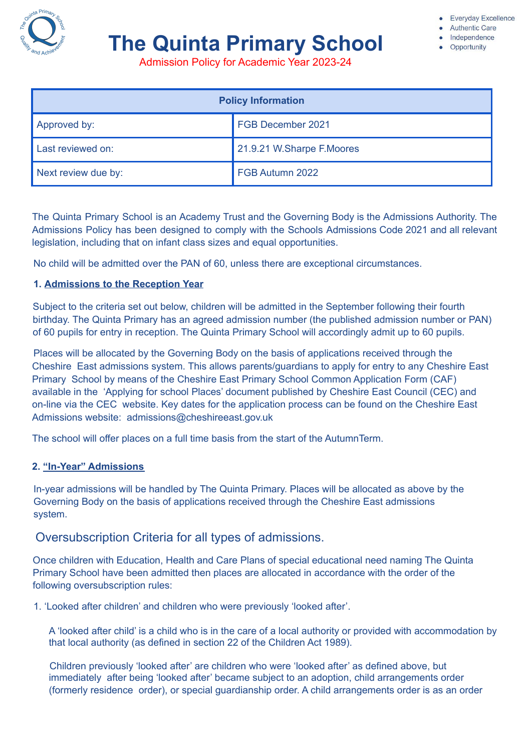

# **The Quinta Primary School**

**Authentic Care** 

- Independence
- Opportunity

Admission Policy for Academic Year 2023-24

| <b>Policy Information</b> |                           |
|---------------------------|---------------------------|
| Approved by:              | FGB December 2021         |
| Last reviewed on:         | 21.9.21 W.Sharpe F.Moores |
| Next review due by:       | FGB Autumn 2022           |

The Quinta Primary School is an Academy Trust and the Governing Body is the Admissions Authority. The Admissions Policy has been designed to comply with the Schools Admissions Code 2021 and all relevant legislation, including that on infant class sizes and equal opportunities.

No child will be admitted over the PAN of 60, unless there are exceptional circumstances.

#### **1. Admissions to the Reception Year**

Subject to the criteria set out below, children will be admitted in the September following their fourth birthday. The Quinta Primary has an agreed admission number (the published admission number or PAN) of 60 pupils for entry in reception. The Quinta Primary School will accordingly admit up to 60 pupils.

Places will be allocated by the Governing Body on the basis of applications received through the Cheshire East admissions system. This allows parents/guardians to apply for entry to any Cheshire East Primary School by means of the Cheshire East Primary School Common Application Form (CAF) available in the 'Applying for school Places' document published by Cheshire East Council (CEC) and on-line via the CEC website. Key dates for the application process can be found on the Cheshire East Admissions website: admissions@cheshireeast.gov.uk

The school will offer places on a full time basis from the start of the AutumnTerm.

#### **2. "In-Year" Admissions**

In-year admissions will be handled by The Quinta Primary. Places will be allocated as above by the Governing Body on the basis of applications received through the Cheshire East admissions system.

## Oversubscription Criteria for all types of admissions.

Once children with Education, Health and Care Plans of special educational need naming The Quinta Primary School have been admitted then places are allocated in accordance with the order of the following oversubscription rules:

1. 'Looked after children' and children who were previously 'looked after'.

A 'looked after child' is a child who is in the care of a local authority or provided with accommodation by that local authority (as defined in section 22 of the Children Act 1989).

Children previously 'looked after' are children who were 'looked after' as defined above, but immediately after being 'looked after' became subject to an adoption, child arrangements order (formerly residence order), or special guardianship order. A child arrangements order is as an order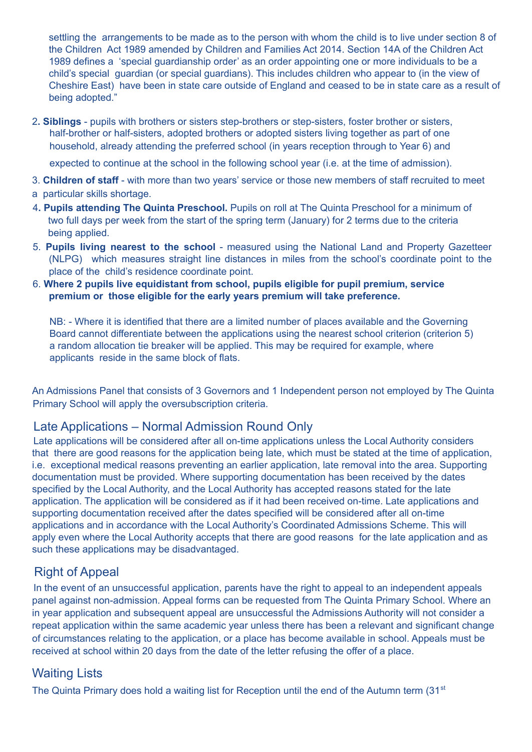settling the arrangements to be made as to the person with whom the child is to live under section 8 of the Children Act 1989 amended by Children and Families Act 2014. Section 14A of the Children Act 1989 defines a 'special guardianship order' as an order appointing one or more individuals to be a child's special guardian (or special guardians). This includes children who appear to (in the view of Cheshire East) have been in state care outside of England and ceased to be in state care as a result of being adopted."

2**. Siblings** - pupils with brothers or sisters step-brothers or step-sisters, foster brother or sisters, half-brother or half-sisters, adopted brothers or adopted sisters living together as part of one household, already attending the preferred school (in years reception through to Year 6) and

expected to continue at the school in the following school year (i.e. at the time of admission).

- 3. **Children of staff** with more than two years' service or those new members of staff recruited to meet
- a particular skills shortage.
- 4**. Pupils attending The Quinta Preschool.** Pupils on roll at The Quinta Preschool for a minimum of two full days per week from the start of the spring term (January) for 2 terms due to the criteria being applied.
- 5. **Pupils living nearest to the school** measured using the National Land and Property Gazetteer (NLPG) which measures straight line distances in miles from the school's coordinate point to the place of the child's residence coordinate point.
- 6. **Where 2 pupils live equidistant from school, pupils eligible for pupil premium, service premium or those eligible for the early years premium will take preference.**

NB: - Where it is identified that there are a limited number of places available and the Governing Board cannot differentiate between the applications using the nearest school criterion (criterion 5) a random allocation tie breaker will be applied. This may be required for example, where applicants reside in the same block of flats.

An Admissions Panel that consists of 3 Governors and 1 Independent person not employed by The Quinta Primary School will apply the oversubscription criteria.

# Late Applications – Normal Admission Round Only

Late applications will be considered after all on-time applications unless the Local Authority considers that there are good reasons for the application being late, which must be stated at the time of application, i.e. exceptional medical reasons preventing an earlier application, late removal into the area. Supporting documentation must be provided. Where supporting documentation has been received by the dates specified by the Local Authority, and the Local Authority has accepted reasons stated for the late application. The application will be considered as if it had been received on-time. Late applications and supporting documentation received after the dates specified will be considered after all on-time applications and in accordance with the Local Authority's Coordinated Admissions Scheme. This will apply even where the Local Authority accepts that there are good reasons for the late application and as such these applications may be disadvantaged.

# Right of Appeal

In the event of an unsuccessful application, parents have the right to appeal to an independent appeals panel against non-admission. Appeal forms can be requested from The Quinta Primary School. Where an in year application and subsequent appeal are unsuccessful the Admissions Authority will not consider a repeat application within the same academic year unless there has been a relevant and significant change of circumstances relating to the application, or a place has become available in school. Appeals must be received at school within 20 days from the date of the letter refusing the offer of a place.

# Waiting Lists

The Quinta Primary does hold a waiting list for Reception until the end of the Autumn term (31<sup>st</sup>